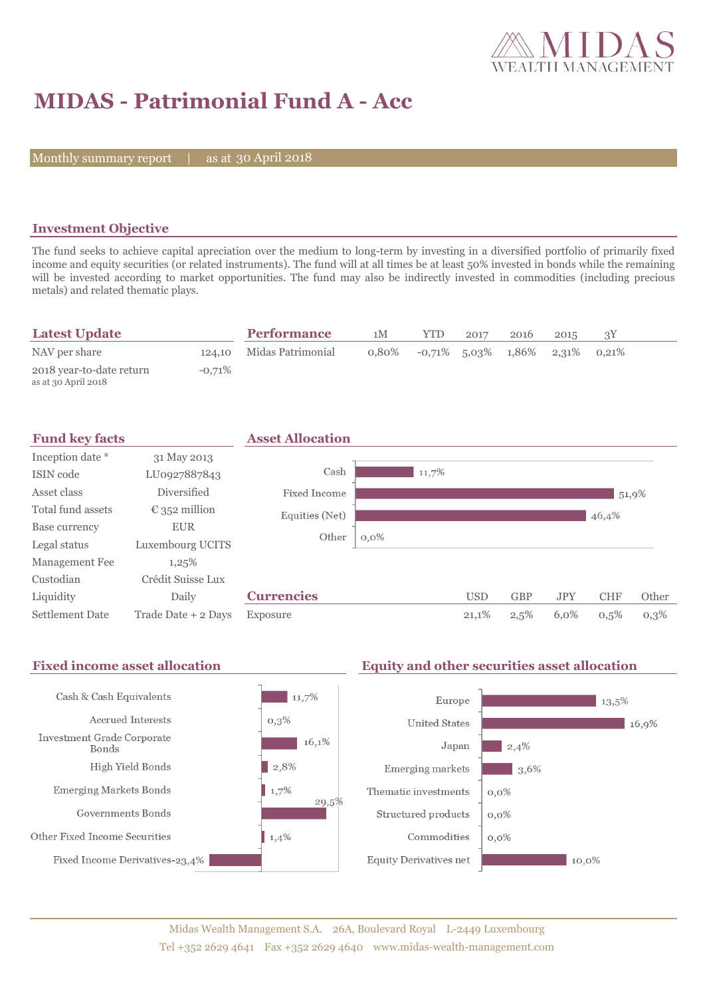

# **MIDAS - Patrimonial Fund A - Acc**

Monthly summary report | as at 30 April 2018

### **Investment Objective**

The fund seeks to achieve capital apreciation over the medium to long-term by investing in a diversified portfolio of primarily fixed income and equity securities (or related instruments). The fund will at all times be at least 50% invested in bonds while the remaining will be invested according to market opportunities. The fund may also be indirectly invested in commodities (including precious metals) and related thematic plays.

| <b>Latest Update</b>                            |           | <b>Performance</b>       | 1M | <b>YTD</b>                                     | 2017 | 2016 | 2015 |  |
|-------------------------------------------------|-----------|--------------------------|----|------------------------------------------------|------|------|------|--|
| NAV per share                                   |           | 124,10 Midas Patrimonial |    | $0.80\%$ $-0.71\%$ 5.03\% 1.86\% 2.31\% 0.21\% |      |      |      |  |
| 2018 year-to-date return<br>as at 30 April 2018 | $-0.71\%$ |                          |    |                                                |      |      |      |  |

| <b>Fund key facts</b>  |                        | <b>Asset Allocation</b> |         |       |            |            |            |            |       |
|------------------------|------------------------|-------------------------|---------|-------|------------|------------|------------|------------|-------|
| Inception date *       | 31 May 2013            |                         |         |       |            |            |            |            |       |
| ISIN code              | LU0927887843           | Cash                    |         | 11,7% |            |            |            |            |       |
| Asset class            | Diversified            | Fixed Income            |         |       |            |            |            | 51,9%      |       |
| Total fund assets      | $\epsilon$ 352 million | Equities (Net)          |         |       |            |            |            | 46,4%      |       |
| Base currency          | <b>EUR</b>             | Other                   |         |       |            |            |            |            |       |
| Legal status           | Luxembourg UCITS       |                         | $0,0\%$ |       |            |            |            |            |       |
| Management Fee         | 1,25%                  |                         |         |       |            |            |            |            |       |
| Custodian              | Crédit Suisse Lux      |                         |         |       |            |            |            |            |       |
| Liquidity              | Daily                  | <b>Currencies</b>       |         |       | <b>USD</b> | <b>GBP</b> | <b>JPY</b> | <b>CHF</b> | Other |
| <b>Settlement Date</b> | Trade Date + 2 Days    | Exposure                |         |       | 21,1%      | 2,5%       | 6,0%       | 0,5%       | 0,3%  |

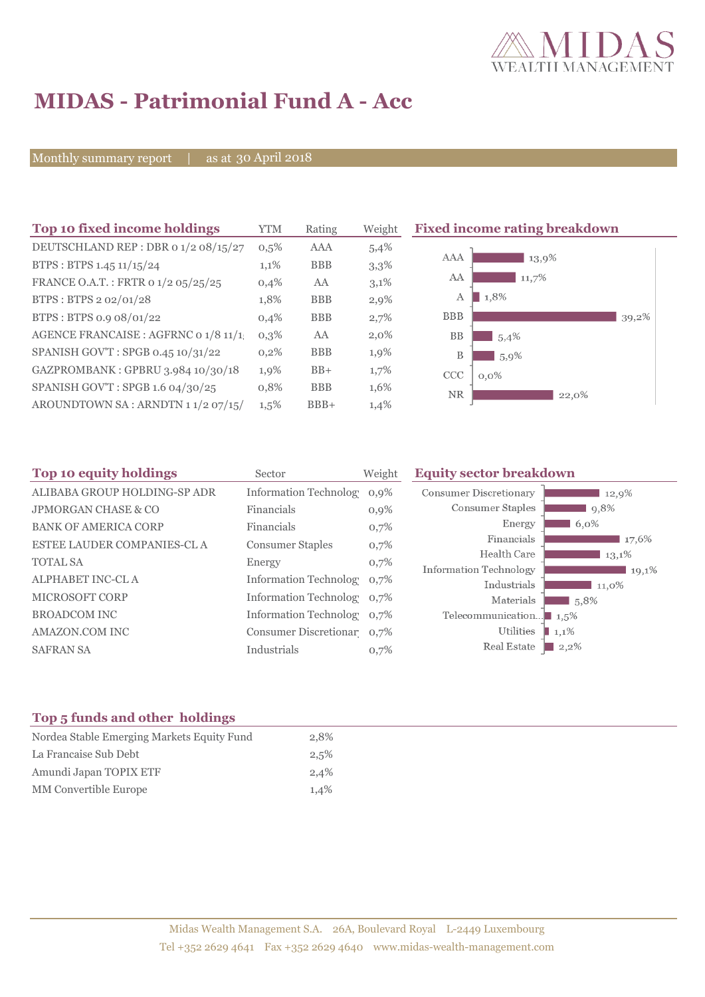

# **MIDAS - Patrimonial Fund A - Acc**

Monthly summary report | as at 30 April 2018

| <b>YTM</b> | Rating     | Weight  | <b>Fixed income rating breakdown</b> |
|------------|------------|---------|--------------------------------------|
| 0,5%       | AAA        | 5,4%    |                                      |
| $1,1\%$    | <b>BBB</b> | 3,3%    | AAA<br>13,9%                         |
| 0,4%       | AA         | 3,1%    | AA<br>11,7%                          |
| 1,8%       | <b>BBB</b> | $2,9\%$ | 1,8%<br>A                            |
| 0,4%       | <b>BBB</b> | 2,7%    | <b>BBB</b><br>39,2%                  |
| $0,3\%$    | AA         | $2,0\%$ | <b>BB</b><br>5,4%                    |
| $0,2\%$    | <b>BBB</b> | 1,9%    | B<br>5,9%                            |
| 1,9%       | $BB+$      | 1,7%    | CCC<br>$0,0\%$                       |
| 0,8%       | <b>BBB</b> | 1,6%    | <b>NR</b><br>22,0%                   |
| $1,5\%$    | $BBB+$     | 1,4%    |                                      |
|            |            |         |                                      |

| Top 10 equity holdings         | Sector                     | Weight  | <b>Equity sector breakdown</b>         |
|--------------------------------|----------------------------|---------|----------------------------------------|
| ALIBABA GROUP HOLDING-SP ADR   | Information Technolog 0,9% |         | Consumer Discretionary<br>12,9%        |
| <b>JPMORGAN CHASE &amp; CO</b> | Financials                 | $0,9\%$ | Consumer Staples<br>9,8%               |
| <b>BANK OF AMERICA CORP</b>    | Financials                 | 0,7%    | Energy<br>6,0%                         |
| ESTEE LAUDER COMPANIES-CL A    | <b>Consumer Staples</b>    | 0,7%    | Financials<br>17,6%                    |
| <b>TOTAL SA</b>                | Energy                     | 0,7%    | Health Care<br>13.1%                   |
|                                |                            |         | <b>Information Technology</b><br>19,1% |
| ALPHABET INC-CL A              | Information Technolog 0.7% |         | Industrials<br>11,0%                   |
| <b>MICROSOFT CORP</b>          | Information Technolog 0,7% |         | Materials<br>5,8%                      |
| <b>BROADCOM INC</b>            | Information Technolog 0,7% |         | Telecommunication $\blacksquare$ 1,5%  |
| AMAZON.COM INC                 | Consumer Discretionar 0,7% |         | Utilities<br>$1,1\%$                   |
| <b>SAFRAN SA</b>               | Industrials                | 0,7%    | Real Estate<br>$\vert 2, 2\% \vert$    |

### **Top 5 funds and other holdings**

| 2.8% |
|------|
| 2,5% |
| 2,4% |
| 1.4% |
|      |